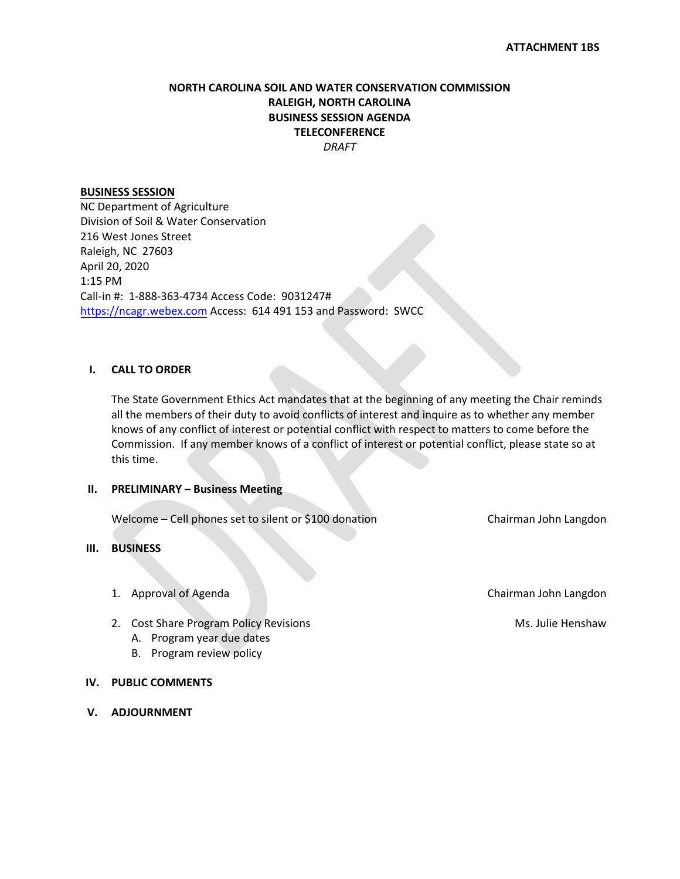### **NORTH CAROLINA SOIL AND WATER CONSERVATION COMMISSION RALEIGH, NORTH CAROLINA BUSINESS SESSION AGENDA TELECONFERENCE** *DRAFT*

### **BUSINESS SESSION**

NC Department of Agriculture Division of Soil & Water Conservation 216 West Jones Street Raleigh, NC 27603 April 20, 2020 1:15 PM Call-in #: 1-888-363-4734 Access Code: 9031247# [https://ncagr.webex.com](https://ncagr.webex.com/) Access: 614 491 153 and Password: SWCC

### **I. CALL TO ORDER**

The State Government Ethics Act mandates that at the beginning of any meeting the Chair reminds all the members of their duty to avoid conflicts of interest and inquire as to whether any member knows of any conflict of interest or potential conflict with respect to matters to come before the Commission. If any member knows of a conflict of interest or potential conflict, please state so at this time.

#### **II. PRELIMINARY – Business Meeting**

Welcome – Cell phones set to silent or \$100 donation Chairman John Langdon

### **III. BUSINESS**

- 
- 2. Cost Share Program Policy Revisions Ms. Julie Henshaw
	- A. Program year due dates
	- B. Program review policy

#### **IV. PUBLIC COMMENTS**

**V. ADJOURNMENT**

1. Approval of Agenda Chairman John Langdon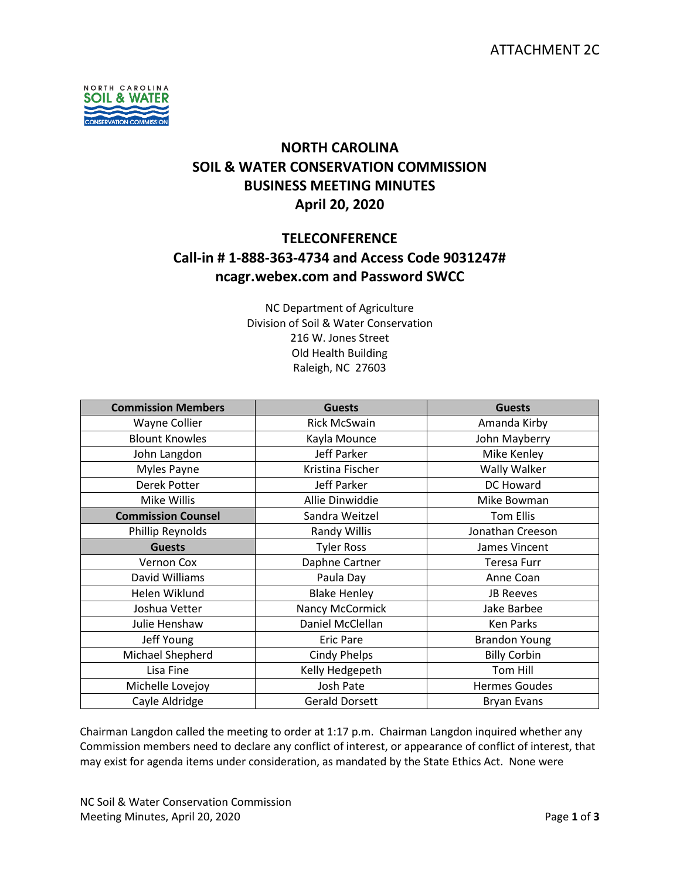

## **NORTH CAROLINA SOIL & WATER CONSERVATION COMMISSION BUSINESS MEETING MINUTES April 20, 2020**

### **TELECONFERENCE**

## **Call-in # 1-888-363-4734 and Access Code 9031247# ncagr.webex.com and Password SWCC**

NC Department of Agriculture Division of Soil & Water Conservation 216 W. Jones Street Old Health Building Raleigh, NC 27603

| <b>Commission Members</b> | <b>Guests</b>         | <b>Guests</b>        |
|---------------------------|-----------------------|----------------------|
| Wayne Collier             | <b>Rick McSwain</b>   | Amanda Kirby         |
| <b>Blount Knowles</b>     | Kayla Mounce          | John Mayberry        |
| John Langdon              | Jeff Parker           | Mike Kenley          |
| Myles Payne               | Kristina Fischer      | Wally Walker         |
| Derek Potter              | Jeff Parker           | DC Howard            |
| Mike Willis               | Allie Dinwiddie       | Mike Bowman          |
| <b>Commission Counsel</b> | Sandra Weitzel        | Tom Ellis            |
| Phillip Reynolds          | <b>Randy Willis</b>   | Jonathan Creeson     |
| <b>Guests</b>             | <b>Tyler Ross</b>     | James Vincent        |
| Vernon Cox                | Daphne Cartner        | Teresa Furr          |
| David Williams            | Paula Day             | Anne Coan            |
| Helen Wiklund             | <b>Blake Henley</b>   | <b>JB Reeves</b>     |
| Joshua Vetter             | Nancy McCormick       | Jake Barbee          |
| Julie Henshaw             | Daniel McClellan      | <b>Ken Parks</b>     |
| Jeff Young                | <b>Eric Pare</b>      | <b>Brandon Young</b> |
| Michael Shepherd          | <b>Cindy Phelps</b>   | <b>Billy Corbin</b>  |
| Lisa Fine                 | Kelly Hedgepeth       | Tom Hill             |
| Michelle Lovejoy          | Josh Pate             | <b>Hermes Goudes</b> |
| Cayle Aldridge            | <b>Gerald Dorsett</b> | <b>Bryan Evans</b>   |

Chairman Langdon called the meeting to order at 1:17 p.m. Chairman Langdon inquired whether any Commission members need to declare any conflict of interest, or appearance of conflict of interest, that may exist for agenda items under consideration, as mandated by the State Ethics Act. None were

NC Soil & Water Conservation Commission Meeting Minutes, April 20, 2020 **Page 1** of 3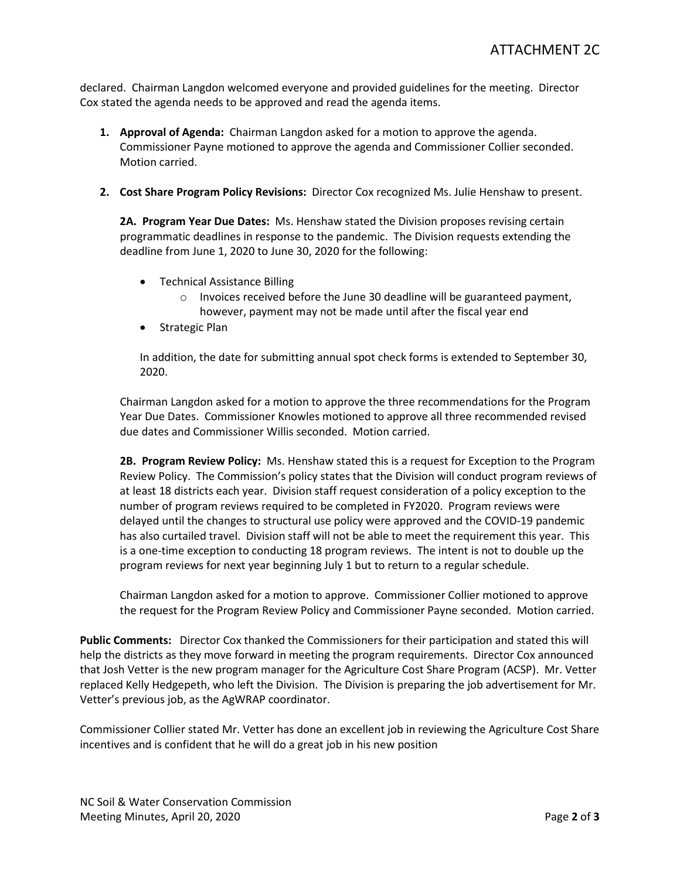declared. Chairman Langdon welcomed everyone and provided guidelines for the meeting. Director Cox stated the agenda needs to be approved and read the agenda items.

- **1. Approval of Agenda:** Chairman Langdon asked for a motion to approve the agenda. Commissioner Payne motioned to approve the agenda and Commissioner Collier seconded. Motion carried.
- **2. Cost Share Program Policy Revisions:** Director Cox recognized Ms. Julie Henshaw to present.

**2A. Program Year Due Dates:** Ms. Henshaw stated the Division proposes revising certain programmatic deadlines in response to the pandemic. The Division requests extending the deadline from June 1, 2020 to June 30, 2020 for the following:

- Technical Assistance Billing
	- $\circ$  Invoices received before the June 30 deadline will be guaranteed payment, however, payment may not be made until after the fiscal year end
- Strategic Plan

In addition, the date for submitting annual spot check forms is extended to September 30, 2020.

Chairman Langdon asked for a motion to approve the three recommendations for the Program Year Due Dates. Commissioner Knowles motioned to approve all three recommended revised due dates and Commissioner Willis seconded. Motion carried.

**2B. Program Review Policy:** Ms. Henshaw stated this is a request for Exception to the Program Review Policy. The Commission's policy states that the Division will conduct program reviews of at least 18 districts each year. Division staff request consideration of a policy exception to the number of program reviews required to be completed in FY2020. Program reviews were delayed until the changes to structural use policy were approved and the COVID-19 pandemic has also curtailed travel. Division staff will not be able to meet the requirement this year. This is a one-time exception to conducting 18 program reviews. The intent is not to double up the program reviews for next year beginning July 1 but to return to a regular schedule.

Chairman Langdon asked for a motion to approve. Commissioner Collier motioned to approve the request for the Program Review Policy and Commissioner Payne seconded. Motion carried.

**Public Comments:** Director Cox thanked the Commissioners for their participation and stated this will help the districts as they move forward in meeting the program requirements. Director Cox announced that Josh Vetter is the new program manager for the Agriculture Cost Share Program (ACSP). Mr. Vetter replaced Kelly Hedgepeth, who left the Division. The Division is preparing the job advertisement for Mr. Vetter's previous job, as the AgWRAP coordinator.

Commissioner Collier stated Mr. Vetter has done an excellent job in reviewing the Agriculture Cost Share incentives and is confident that he will do a great job in his new position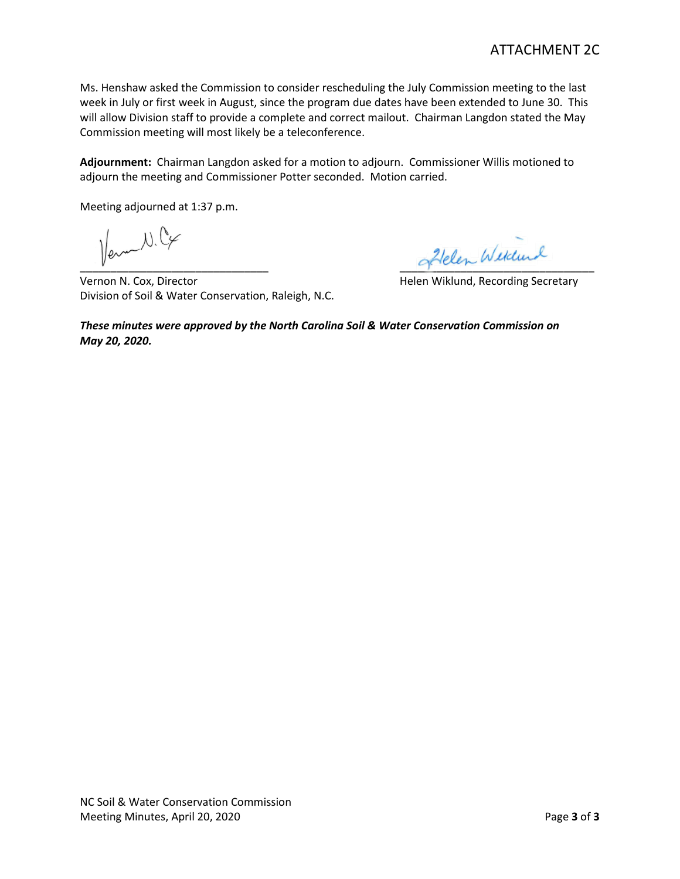Ms. Henshaw asked the Commission to consider rescheduling the July Commission meeting to the last week in July or first week in August, since the program due dates have been extended to June 30. This will allow Division staff to provide a complete and correct mailout. Chairman Langdon stated the May Commission meeting will most likely be a teleconference.

**Adjournment:** Chairman Langdon asked for a motion to adjourn.Commissioner Willis motioned to adjourn the meeting and Commissioner Potter seconded. Motion carried.

Meeting adjourned at 1:37 p.m.

 $\psi$  and  $\psi$ 

Vernon N. Cox, Director **N. Cox, Director** Michael Bushels and Helen Wiklund, Recording Secretary Division of Soil & Water Conservation, Raleigh, N.C.

*These minutes were approved by the North Carolina Soil & Water Conservation Commission on May 20, 2020.*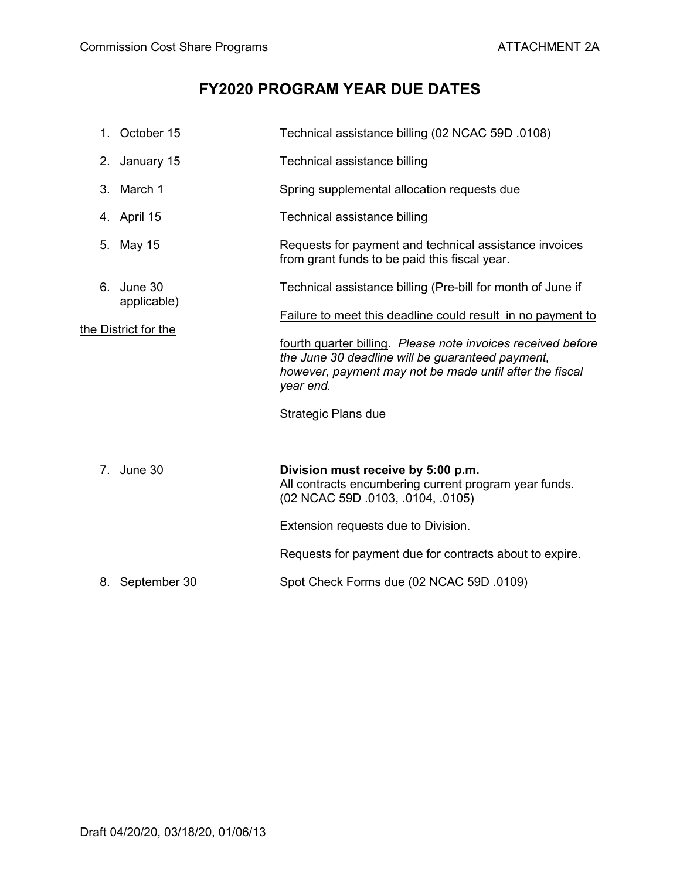# **FY2020 PROGRAM YEAR DUE DATES**

|                                     | 1. October 15                                               | Technical assistance billing (02 NCAC 59D .0108)                                                                                                                                         |  |
|-------------------------------------|-------------------------------------------------------------|------------------------------------------------------------------------------------------------------------------------------------------------------------------------------------------|--|
|                                     | 2. January 15                                               | Technical assistance billing                                                                                                                                                             |  |
|                                     | 3. March 1                                                  | Spring supplemental allocation requests due                                                                                                                                              |  |
|                                     | 4. April 15                                                 | Technical assistance billing                                                                                                                                                             |  |
| 5.                                  | May 15                                                      | Requests for payment and technical assistance invoices<br>from grant funds to be paid this fiscal year.                                                                                  |  |
|                                     | 6. June 30                                                  | Technical assistance billing (Pre-bill for month of June if                                                                                                                              |  |
| applicable)<br>the District for the | Failure to meet this deadline could result in no payment to |                                                                                                                                                                                          |  |
|                                     |                                                             | fourth quarter billing. Please note invoices received before<br>the June 30 deadline will be guaranteed payment,<br>however, payment may not be made until after the fiscal<br>year end. |  |
|                                     |                                                             | <b>Strategic Plans due</b>                                                                                                                                                               |  |
|                                     |                                                             |                                                                                                                                                                                          |  |
|                                     | 7. June 30                                                  | Division must receive by 5:00 p.m.<br>All contracts encumbering current program year funds.<br>(02 NCAC 59D .0103, .0104, .0105)                                                         |  |
|                                     |                                                             | Extension requests due to Division.                                                                                                                                                      |  |
|                                     |                                                             | Requests for payment due for contracts about to expire.                                                                                                                                  |  |
|                                     | 8. September 30                                             | Spot Check Forms due (02 NCAC 59D .0109)                                                                                                                                                 |  |